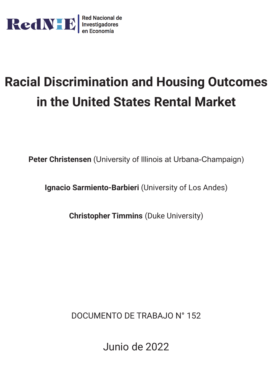

# **Racial Discrimination and Housing Outcomes in the United States Rental Market**

**Peter Christensen** (University of Illinois at Urbana-Champaign)

**Ignacio Sarmiento-Barbieri** (University of Los Andes)

**Christopher Timmins** (Duke University)

DOCUMENTO DE TRABAJO N° 152

Junio de 2022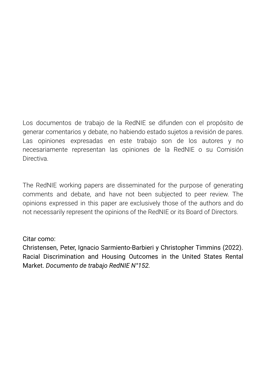Los documentos de trabajo de la RedNIE se difunden con el propósito de generar comentarios y debate, no habiendo estado sujetos a revisión de pares. Las opiniones expresadas en este trabajo son de los autores y no necesariamente representan las opiniones de la RedNIE o su Comisión **Directiva** 

The RedNIE working papers are disseminated for the purpose of generating comments and debate, and have not been subjected to peer review. The opinions expressed in this paper are exclusively those of the authors and do not necessarily represent the opinions of the RedNIE or its Board of Directors.

## Citar como:

Christensen, Peter, Ignacio Sarmiento-Barbieri y Christopher Timmins (2022). Racial Discrimination and Housing Outcomes in the United States Rental Market. *Documento de trabajo RedNIE N°152.*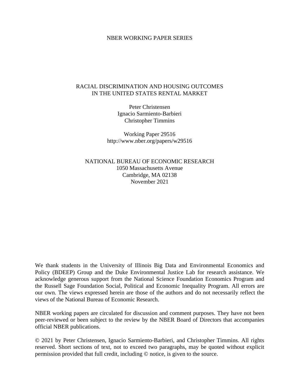#### NBER WORKING PAPER SERIES

#### RACIAL DISCRIMINATION AND HOUSING OUTCOMES IN THE UNITED STATES RENTAL MARKET

Peter Christensen Ignacio Sarmiento-Barbieri Christopher Timmins

Working Paper 29516 http://www.nber.org/papers/w29516

NATIONAL BUREAU OF ECONOMIC RESEARCH 1050 Massachusetts Avenue Cambridge, MA 02138 November 2021

We thank students in the University of Illinois Big Data and Environmental Economics and Policy (BDEEP) Group and the Duke Environmental Justice Lab for research assistance. We acknowledge generous support from the National Science Foundation Economics Program and the Russell Sage Foundation Social, Political and Economic Inequality Program. All errors are our own. The views expressed herein are those of the authors and do not necessarily reflect the views of the National Bureau of Economic Research.

NBER working papers are circulated for discussion and comment purposes. They have not been peer-reviewed or been subject to the review by the NBER Board of Directors that accompanies official NBER publications.

© 2021 by Peter Christensen, Ignacio Sarmiento-Barbieri, and Christopher Timmins. All rights reserved. Short sections of text, not to exceed two paragraphs, may be quoted without explicit permission provided that full credit, including © notice, is given to the source.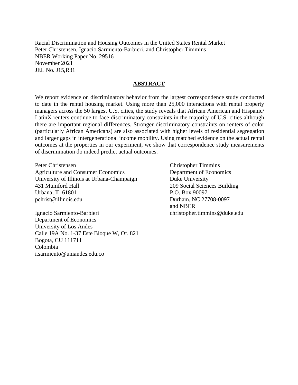Racial Discrimination and Housing Outcomes in the United States Rental Market Peter Christensen, Ignacio Sarmiento-Barbieri, and Christopher Timmins NBER Working Paper No. 29516 November 2021 JEL No. J15,R31

#### **ABSTRACT**

We report evidence on discriminatory behavior from the largest correspondence study conducted to date in the rental housing market. Using more than 25,000 interactions with rental property managers across the 50 largest U.S. cities, the study reveals that African American and Hispanic/ LatinX renters continue to face discriminatory constraints in the majority of U.S. cities although there are important regional differences. Stronger discriminatory constraints on renters of color (particularly African Americans) are also associated with higher levels of residential segregation and larger gaps in intergenerational income mobility. Using matched evidence on the actual rental outcomes at the properties in our experiment, we show that correspondence study measurements of discrimination do indeed predict actual outcomes.

Peter Christensen Agriculture and Consumer Economics University of Illinois at Urbana-Champaign 431 Mumford Hall Urbana, IL 61801 pchrist@illinois.edu

Ignacio Sarmiento-Barbieri Department of Economics University of Los Andes Calle 19A No. 1-37 Este Bloque W, Of. 821 Bogota, CU 111711 Colombia i.sarmiento@uniandes.edu.co

Christopher Timmins Department of Economics Duke University 209 Social Sciences Building P.O. Box 90097 Durham, NC 27708-0097 and NBER christopher.timmins@duke.edu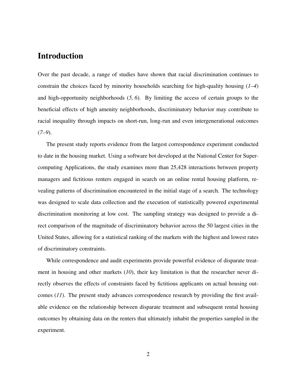## Introduction

Over the past decade, a range of studies have shown that racial discrimination continues to constrain the choices faced by minority households searching for high-quality housing (*1–4*) and high-opportunity neighborhoods (*5, 6*). By limiting the access of certain groups to the beneficial effects of high amenity neighborhoods, discriminatory behavior may contribute to racial inequality through impacts on short-run, long-run and even intergenerational outcomes (*7–9*).

The present study reports evidence from the largest correspondence experiment conducted to date in the housing market. Using a software bot developed at the National Center for Supercomputing Applications, the study examines more than 25,428 interactions between property managers and fictitious renters engaged in search on an online rental housing platform, revealing patterns of discrimination encountered in the initial stage of a search. The technology was designed to scale data collection and the execution of statistically powered experimental discrimination monitoring at low cost. The sampling strategy was designed to provide a direct comparison of the magnitude of discriminatory behavior across the 50 largest cities in the United States, allowing for a statistical ranking of the markets with the highest and lowest rates of discriminatory constraints.

While correspondence and audit experiments provide powerful evidence of disparate treatment in housing and other markets (*10*), their key limitation is that the researcher never directly observes the effects of constraints faced by fictitious applicants on actual housing outcomes (*11*). The present study advances correspondence research by providing the first available evidence on the relationship between disparate treatment and subsequent rental housing outcomes by obtaining data on the renters that ultimately inhabit the properties sampled in the experiment.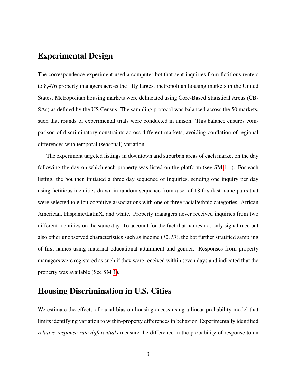## Experimental Design

The correspondence experiment used a computer bot that sent inquiries from fictitious renters to 8,476 property managers across the fifty largest metropolitan housing markets in the United States. Metropolitan housing markets were delineated using Core-Based Statistical Areas (CB-SAs) as defined by the US Census. The sampling protocol was balanced across the 50 markets, such that rounds of experimental trials were conducted in unison. This balance ensures comparison of discriminatory constraints across different markets, avoiding conflation of regional differences with temporal (seasonal) variation.

The experiment targeted listings in downtown and suburban areas of each market on the day following the day on which each property was listed on the platform (see SM [1.1\)](#page-19-0). For each listing, the bot then initiated a three day sequence of inquiries, sending one inquiry per day using fictitious identities drawn in random sequence from a set of 18 first/last name pairs that were selected to elicit cognitive associations with one of three racial/ethnic categories: African American, Hispanic/LatinX, and white. Property managers never received inquiries from two different identities on the same day. To account for the fact that names not only signal race but also other unobserved characteristics such as income (*12,13*), the bot further stratified sampling of first names using maternal educational attainment and gender. Responses from property managers were registered as such if they were received within seven days and indicated that the property was available (See SM [1\)](#page-19-1).

## Housing Discrimination in U.S. Cities

We estimate the effects of racial bias on housing access using a linear probability model that limits identifying variation to within-property differences in behavior. Experimentally identified *relative response rate differentials* measure the difference in the probability of response to an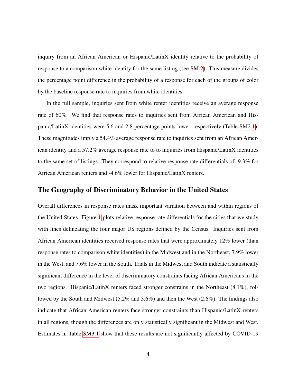inquiry from an African American or Hispanic/LatinX identity relative to the probability of response to a comparison white identity for the same listing (see SM [2\)](#page-31-0). This measure divides the percentage point difference in the probability of a response for each of the groups of color by the baseline response rate to inquiries from white identities.

In the full sample, inquiries sent from white renter identities receive an average response rate of 60%. We find that response rates to inquiries sent from African American and Hispanic/LatinX identities were 5.6 and 2.8 percentage points lower, respectively (Table [SM2.1\)](#page-32-0). These magnitudes imply a 54.4% average response rate to inquiries sent from an African American identity and a 57.2% average response rate to to inquiries from Hispanic/LatinX identities to the same set of listings. They correspond to relative response rate differentials of -9.3% for African American renters and -4.6% lower for Hispanic/LatinX renters.

#### The Geography of Discriminatory Behavior in the United States

Overall differences in response rates mask important variation between and within regions of the United States. Figure [1](#page-15-0) plots relative response rate differentials for the cities that we study with lines delineating the four major US regions defined by the Census. Inquiries sent from African American identities received response rates that were approximately 12% lower (than response rates to comparison white identities) in the Midwest and in the Northeast, 7.9% lower in the West, and 7.6% lower in the South. Trials in the Midwest and South indicate a statistically significant difference in the level of discriminatory constraints facing African Americans in the two regions. Hispanic/LatinX renters faced stronger constrains in the Northeast (8.1%), followed by the South and Midwest (5.2% and 3.6%) and then the West (2.6%). The findings also indicate that African American renters face stronger constraints than Hispanic/LatinX renters in all regions, though the differences are only statistically significant in the Midwest and West. Estimates in Table [SM3.1](#page-39-0) show that these results are not significantly affected by COVID-19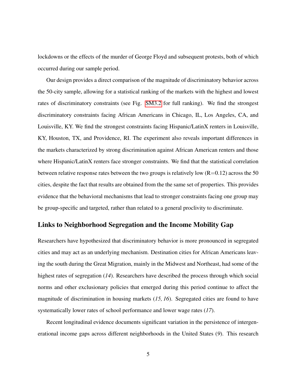lockdowns or the effects of the murder of George Floyd and subsequent protests, both of which occurred during our sample period.

Our design provides a direct comparison of the magnitude of discriminatory behavior across the 50-city sample, allowing for a statistical ranking of the markets with the highest and lowest rates of discriminatory constraints (see Fig. [SM3.2](#page-35-0) for full ranking). We find the strongest discriminatory constraints facing African Americans in Chicago, IL, Los Angeles, CA, and Louisville, KY. We find the strongest constraints facing Hispanic/LatinX renters in Louisville, KY, Houston, TX, and Providence, RI. The experiment also reveals important differences in the markets characterized by strong discrimination against African American renters and those where Hispanic/LatinX renters face stronger constraints. We find that the statistical correlation between relative response rates between the two groups is relatively low  $(R=0.12)$  across the 50 cities, despite the fact that results are obtained from the the same set of properties. This provides evidence that the behavioral mechanisms that lead to stronger constraints facing one group may be group-specific and targeted, rather than related to a general proclivity to discriminate.

#### Links to Neighborhood Segregation and the Income Mobility Gap

Researchers have hypothesized that discriminatory behavior is more pronounced in segregated cities and may act as an underlying mechanism. Destination cities for African Americans leaving the south during the Great Migration, mainly in the Midwest and Northeast, had some of the highest rates of segregation (*14*). Researchers have described the process through which social norms and other exclusionary policies that emerged during this period continue to affect the magnitude of discrimination in housing markets (*15, 16*). Segregated cities are found to have systematically lower rates of school performance and lower wage rates (*17*).

Recent longitudinal evidence documents significant variation in the persistence of intergenerational income gaps across different neighborhoods in the United States (*9*). This research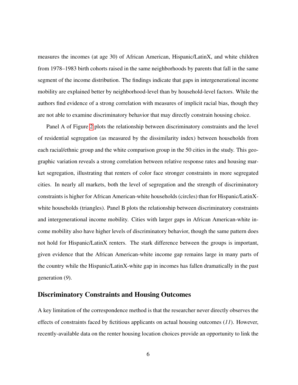measures the incomes (at age 30) of African American, Hispanic/LatinX, and white children from 1978–1983 birth cohorts raised in the same neighborhoods by parents that fall in the same segment of the income distribution. The findings indicate that gaps in intergenerational income mobility are explained better by neighborhood-level than by household-level factors. While the authors find evidence of a strong correlation with measures of implicit racial bias, though they are not able to examine discriminatory behavior that may directly constrain housing choice.

Panel A of Figure [2](#page-16-0) plots the relationship between discriminatory constraints and the level of residential segregation (as measured by the dissimilarity index) between households from each racial/ethnic group and the white comparison group in the 50 cities in the study. This geographic variation reveals a strong correlation between relative response rates and housing market segregation, illustrating that renters of color face stronger constraints in more segregated cities. In nearly all markets, both the level of segregation and the strength of discriminatory constraints is higher for African American-white households (circles) than for Hispanic/LatinXwhite households (triangles). Panel B plots the relationship between discriminatory constraints and intergenerational income mobility. Cities with larger gaps in African American-white income mobility also have higher levels of discriminatory behavior, though the same pattern does not hold for Hispanic/LatinX renters. The stark difference between the groups is important, given evidence that the African American-white income gap remains large in many parts of the country while the Hispanic/LatinX-white gap in incomes has fallen dramatically in the past generation (*9*).

#### Discriminatory Constraints and Housing Outcomes

A key limitation of the correspondence method is that the researcher never directly observes the effects of constraints faced by fictitious applicants on actual housing outcomes (*11*). However, recently-available data on the renter housing location choices provide an opportunity to link the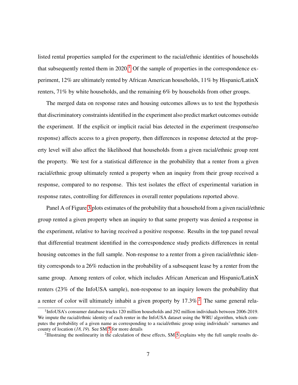listed rental properties sampled for the experiment to the racial/ethnic identities of households that subsequently rented them in  $2020<sup>1</sup>$  $2020<sup>1</sup>$  $2020<sup>1</sup>$  Of the sample of properties in the correspondence experiment, 12% are ultimately rented by African American households, 11% by Hispanic/LatinX renters, 71% by white households, and the remaining 6% by households from other groups.

The merged data on response rates and housing outcomes allows us to test the hypothesis that discriminatory constraints identified in the experiment also predict market outcomes outside the experiment. If the explicit or implicit racial bias detected in the experiment (response/no response) affects access to a given property, then differences in response detected at the property level will also affect the likelihood that households from a given racial/ethnic group rent the property. We test for a statistical difference in the probability that a renter from a given racial/ethnic group ultimately rented a property when an inquiry from their group received a response, compared to no response. This test isolates the effect of experimental variation in response rates, controlling for differences in overall renter populations reported above.

Panel A of Figure [3](#page-17-0) plots estimates of the probability that a household from a given racial/ethnic group rented a given property when an inquiry to that same property was denied a response in the experiment, relative to having received a positive response. Results in the top panel reveal that differential treatment identified in the correspondence study predicts differences in rental housing outcomes in the full sample. Non-response to a renter from a given racial/ethnic identity corresponds to a 26% reduction in the probability of a subsequent lease by a renter from the same group. Among renters of color, which includes African American and Hispanic/LatinX renters (23% of the InfoUSA sample), non-response to an inquiry lowers the probability that a renter of color will ultimately inhabit a given property by 17.3%.<sup>[2](#page-9-1)</sup> The same general rela-

<span id="page-9-0"></span><sup>&</sup>lt;sup>1</sup>InfoUSA's consumer database tracks 120 million households and 292 million individuals between 2006-2019. We impute the racial/ethnic identity of each renter in the InfoUSA dataset using the WRU algorithm, which computes the probability of a given name as corresponding to a racial/ethnic group using individuals' surnames and county of location (*18, 19*). See SM [5](#page-43-0) for more details

<span id="page-9-1"></span><sup>&</sup>lt;sup>2</sup>Illustraing the nonlinearity in the calculation of these effects, SM [5](#page-43-0) explains why the full sample results de-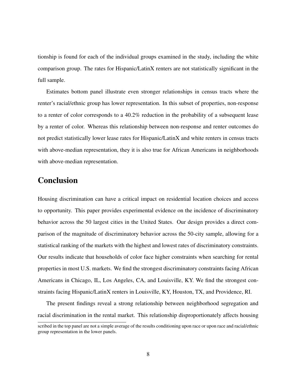tionship is found for each of the individual groups examined in the study, including the white comparison group. The rates for Hispanic/LatinX renters are not statistically significant in the full sample.

Estimates bottom panel illustrate even stronger relationships in census tracts where the renter's racial/ethnic group has lower representation. In this subset of properties, non-response to a renter of color corresponds to a 40.2% reduction in the probability of a subsequent lease by a renter of color. Whereas this relationship between non-response and renter outcomes do not predict statistically lower lease rates for Hispanic/LatinX and white renters in census tracts with above-median representation, they it is also true for African Americans in neighborhoods with above-median representation.

## **Conclusion**

Housing discrimination can have a critical impact on residential location choices and access to opportunity. This paper provides experimental evidence on the incidence of discriminatory behavior across the 50 largest cities in the United States. Our design provides a direct comparison of the magnitude of discriminatory behavior across the 50-city sample, allowing for a statistical ranking of the markets with the highest and lowest rates of discriminatory constraints. Our results indicate that households of color face higher constraints when searching for rental properties in most U.S. markets. We find the strongest discriminatory constraints facing African Americans in Chicago, IL, Los Angeles, CA, and Louisville, KY. We find the strongest constraints facing Hispanic/LatinX renters in Louisville, KY, Houston, TX, and Providence, RI.

The present findings reveal a strong relationship between neighborhood segregation and racial discrimination in the rental market. This relationship disproportionately affects housing

scribed in the top panel are not a simple average of the results conditioning upon race or upon race and racial/ethnic group representation in the lower panels.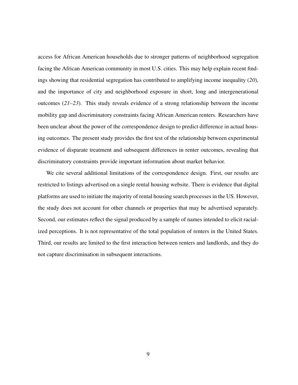access for African American households due to stronger patterns of neighborhood segregation facing the African American community in most U.S. cities. This may help explain recent findings showing that residential segregation has contributed to amplifying income inequality (*20*), and the importance of city and neighborhood exposure in short, long and intergenerational outcomes (*21–23*). This study reveals evidence of a strong relationship between the income mobility gap and discriminatory constraints facing African American renters. Researchers have been unclear about the power of the correspondence design to predict difference in actual housing outcomes. The present study provides the first test of the relationship between experimental evidence of disparate treatment and subsequent differences in renter outcomes, revealing that discriminatory constraints provide important information about market behavior.

We cite several additional limitations of the correspondence design. First, our results are restricted to listings advertised on a single rental housing website. There is evidence that digital platforms are used to initiate the majority of rental housing search processes in the US. However, the study does not account for other channels or properties that may be advertised separately. Second, our estimates reflect the signal produced by a sample of names intended to elicit racialized perceptions. It is not representative of the total population of renters in the United States. Third, our results are limited to the first interaction between renters and landlords, and they do not capture discrimination in subsequent interactions.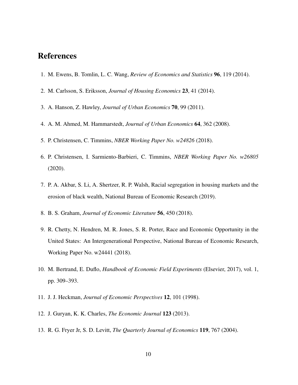## References

- 1. M. Ewens, B. Tomlin, L. C. Wang, *Review of Economics and Statistics* 96, 119 (2014).
- 2. M. Carlsson, S. Eriksson, *Journal of Housing Economics* 23, 41 (2014).
- 3. A. Hanson, Z. Hawley, *Journal of Urban Economics* 70, 99 (2011).
- 4. A. M. Ahmed, M. Hammarstedt, *Journal of Urban Economics* 64, 362 (2008).
- 5. P. Christensen, C. Timmins, *NBER Working Paper No. w24826* (2018).
- 6. P. Christensen, I. Sarmiento-Barbieri, C. Timmins, *NBER Working Paper No. w26805* (2020).
- 7. P. A. Akbar, S. Li, A. Shertzer, R. P. Walsh, Racial segregation in housing markets and the erosion of black wealth, National Bureau of Economic Research (2019).
- 8. B. S. Graham, *Journal of Economic Literature* 56, 450 (2018).
- 9. R. Chetty, N. Hendren, M. R. Jones, S. R. Porter, Race and Economic Opportunity in the United States: An Intergenerational Perspective, National Bureau of Economic Research, Working Paper No. w24441 (2018).
- 10. M. Bertrand, E. Duflo, *Handbook of Economic Field Experiments* (Elsevier, 2017), vol. 1, pp. 309–393.
- 11. J. J. Heckman, *Journal of Economic Perspectives* 12, 101 (1998).
- 12. J. Guryan, K. K. Charles, *The Economic Journal* 123 (2013).
- 13. R. G. Fryer Jr, S. D. Levitt, *The Quarterly Journal of Economics* 119, 767 (2004).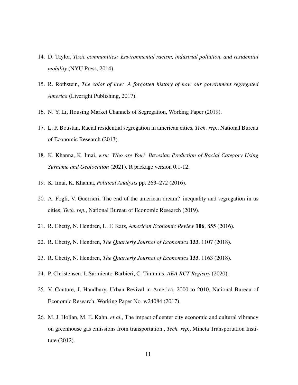- 14. D. Taylor, *Toxic communities: Environmental racism, industrial pollution, and residential mobility* (NYU Press, 2014).
- 15. R. Rothstein, *The color of law: A forgotten history of how our government segregated America* (Liveright Publishing, 2017).
- 16. N. Y. Li, Housing Market Channels of Segregation, Working Paper (2019).
- 17. L. P. Boustan, Racial residential segregation in american cities, *Tech. rep.*, National Bureau of Economic Research (2013).
- 18. K. Khanna, K. Imai, *wru: Who are You? Bayesian Prediction of Racial Category Using Surname and Geolocation* (2021). R package version 0.1-12.
- 19. K. Imai, K. Khanna, *Political Analysis* pp. 263–272 (2016).
- 20. A. Fogli, V. Guerrieri, The end of the american dream? inequality and segregation in us cities, *Tech. rep.*, National Bureau of Economic Research (2019).
- 21. R. Chetty, N. Hendren, L. F. Katz, *American Economic Review* 106, 855 (2016).
- 22. R. Chetty, N. Hendren, *The Quarterly Journal of Economics* 133, 1107 (2018).
- 23. R. Chetty, N. Hendren, *The Quarterly Journal of Economics* 133, 1163 (2018).
- 24. P. Christensen, I. Sarmiento-Barbieri, C. Timmins, *AEA RCT Registry* (2020).
- 25. V. Couture, J. Handbury, Urban Revival in America, 2000 to 2010, National Bureau of Economic Research, Working Paper No. w24084 (2017).
- 26. M. J. Holian, M. E. Kahn, *et al.*, The impact of center city economic and cultural vibrancy on greenhouse gas emissions from transportation., *Tech. rep.*, Mineta Transportation Institute (2012).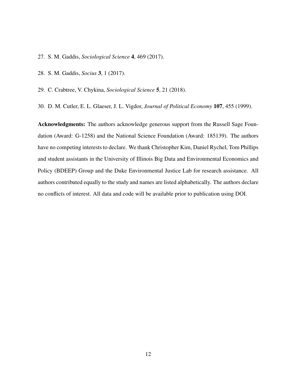- 27. S. M. Gaddis, *Sociological Science* 4, 469 (2017).
- 28. S. M. Gaddis, *Socius* 3, 1 (2017).
- 29. C. Crabtree, V. Chykina, *Sociological Science* 5, 21 (2018).

30. D. M. Cutler, E. L. Glaeser, J. L. Vigdor, *Journal of Political Economy* 107, 455 (1999).

Acknowledgments: The authors acknowledge generous support from the Russell Sage Foundation (Award: G-1258) and the National Science Foundation (Award: 185139). The authors have no competing interests to declare. We thank Christopher Kim, Daniel Rychel, Tom Phillips and student assistants in the University of Illinois Big Data and Environmental Economics and Policy (BDEEP) Group and the Duke Environmental Justice Lab for research assistance. All authors contributed equally to the study and names are listed alphabetically. The authors declare no conflicts of interest. All data and code will be available prior to publication using DOI.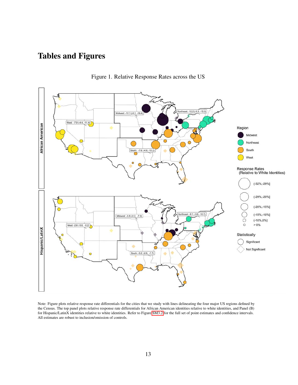## Tables and Figures

<span id="page-15-0"></span>

Figure 1. Relative Response Rates across the US

Note: Figure plots relative response rate differentials for the cities that we study with lines delineating the four major US regions defined by the Census. The top panel plots relative response rate differentials for African American identities relative to white identities, and Panel (B) for Hispanic/LatinX identities relative to white identities. Refer to Figure [SM3.2](#page-35-0) for the full set of point estimates and confidence intervals. All estimates are robust to inclusion/omission of controls.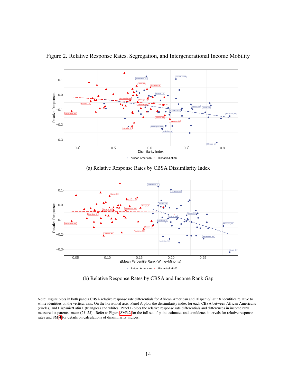<span id="page-16-0"></span>

Figure 2. Relative Response Rates, Segregation, and Intergenerational Income Mobility

(a) Relative Response Rates by CBSA Dissimilarity Index



(b) Relative Response Rates by CBSA and Income Rank Gap

Note: Figure plots in both panels CBSA relative response rate differentials for African American and Hispanic/LatinX identities relative to white identities on the vertical axis. On the horizontal axis, Panel A plots the dissimilarity index for each CBSA between African Americans (circles) and Hispanic/LatinX (triangles) and whites. Panel B plots the relative response rate differentials and differences in income rank measured at parents' mean (*21–23*) . Refer to Figure [SM3.2](#page-35-0) for the full set of point estimates and confidence intervals for relative response rates and SM [4](#page-41-0) for details on calculations of dissimilarity indices.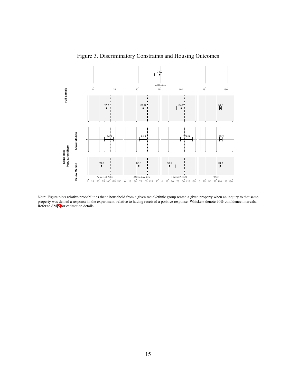<span id="page-17-0"></span>

Figure 3. Discriminatory Constraints and Housing Outcomes

Note: Figure plots relative probabilities that a household from a given racial/ethnic group rented a given property when an inquiry to that same property was denied a response in the experiment, relative to having received a positive response. Whiskers denote 90% confidence intervals. Refer to SM [5](#page-43-0) for estimation details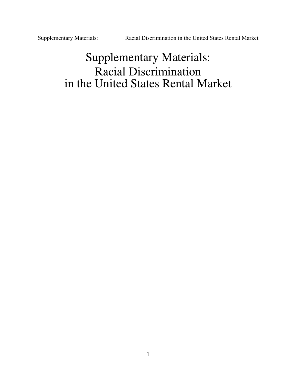## Supplementary Materials: Racial Discrimination in the United States Rental Market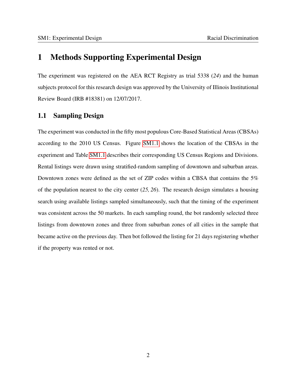## <span id="page-19-1"></span>1 Methods Supporting Experimental Design

The experiment was registered on the AEA RCT Registry as trial 5338 (*24*) and the human subjects protocol for this research design was approved by the University of Illinois Institutional Review Board (IRB #18381) on 12/07/2017.

#### <span id="page-19-0"></span>1.1 Sampling Design

The experiment was conducted in the fifty most populous Core-Based Statistical Areas (CBSAs) according to the 2010 US Census. Figure [SM1.1](#page-20-0) shows the location of the CBSAs in the experiment and Table [SM1.1](#page-21-0) describes their corresponding US Census Regions and Divisions. Rental listings were drawn using stratified-random sampling of downtown and suburban areas. Downtown zones were defined as the set of ZIP codes within a CBSA that contains the 5% of the population nearest to the city center (*25, 26*). The research design simulates a housing search using available listings sampled simultaneously, such that the timing of the experiment was consistent across the 50 markets. In each sampling round, the bot randomly selected three listings from downtown zones and three from suburban zones of all cities in the sample that became active on the previous day. Then bot followed the listing for 21 days registering whether if the property was rented or not.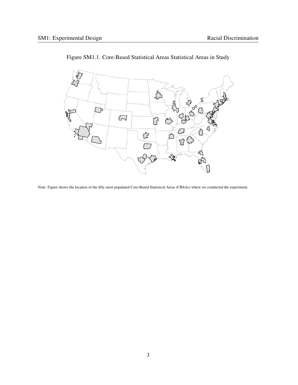<span id="page-20-0"></span>

Figure SM1.1. Core-Based Statistical Areas Statistical Areas in Study

Note: Figure shows the location of the fifty most populated Core-Based Statistical Areas (CBSAs) where we conducted the experiment.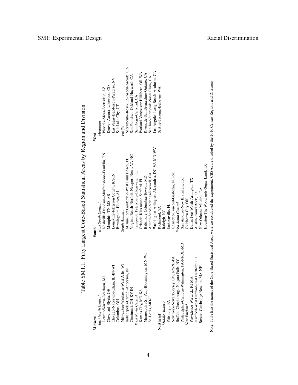| Midwest                                                                        | South                                                                                                                                                         | West                                  |
|--------------------------------------------------------------------------------|---------------------------------------------------------------------------------------------------------------------------------------------------------------|---------------------------------------|
| East North Central                                                             | East South Central                                                                                                                                            | Mountain                              |
| Detroit-Warren-Dearborn, MI                                                    | Nashville-Davidson-Murfreesboro-Franklin, TN                                                                                                                  | Phoenix-Mesa-Scottsdale, AZ           |
| Cleveland-Elyria, OH                                                           | Memphis, TN-MS-AR                                                                                                                                             | Denver-Aurora-Lakewood, CO            |
| Chicago-Naperville-Elgin, IL-IN-WI                                             | Louisville-Jefferson County, KY-IN                                                                                                                            | Las Vegas-Henderson-Paradise, NV      |
| Columbus, OH                                                                   | Birmingham-Hoover, AL                                                                                                                                         | Salt Lake City, UT                    |
| Milwaukee-Waukesha-West Allis, WI                                              | South Atlantic                                                                                                                                                | Pacific                               |
| Indianapolis-Carmel-Anderson, IN                                               | Miami-Fort Lauderdale-West Palm Beach. FL                                                                                                                     | Sacramento-Roseville-Arden-Arcade, CA |
| Cincinnati, OH-KY-IN                                                           | Virginia Beach-Norfolk-Newport News, VA-NC                                                                                                                    | San Francisco-Oakland-Hayward, CA     |
| West North Central                                                             | Tampa-St. Petersburg-Clearwater, FL                                                                                                                           | San Diego-Carlsbad, CA                |
| Kansas City, MO-KS                                                             | Orlando-Kissimmee-Sanford, FL                                                                                                                                 | Portland-Vancouver-Hillsboro, OR-WA   |
| Minneapolis-St. Paul-Bloomington, MN-WI                                        | Baltimore-Columbia-Towson, MD                                                                                                                                 | Riverside-San Bernardino-Ontario, CA  |
| St. Louis, MO-IL                                                               | Atlanta-Sandy Springs-Roswell, GA                                                                                                                             | San Jose-Sunnyvale-Santa Clara, CA    |
|                                                                                | Washington-Arlington-Alexandria, DC-VA-MD-WV                                                                                                                  | Los Angeles-Long Beach-Anaheim, CA    |
| Northeast                                                                      | Richmond, VA                                                                                                                                                  | Seattle-Tacoma-Bellevue, WA           |
| Middle Atlantic                                                                | Raleigh, NC                                                                                                                                                   |                                       |
| Pittsburgh, PA                                                                 | Jacksonville, FL                                                                                                                                              |                                       |
|                                                                                | Charlotte-Concord-Gastonia, NC-SC                                                                                                                             |                                       |
| New York-Newark-Jersey City, NY-NJ-PA<br>Buffalo-Cheektowaga-Niagara Falls, NY | West South Central                                                                                                                                            |                                       |
| hiladelphia-Camden-Wilmington, PA-NJ-DE-MD                                     | San Antonio-New Braunfels, TX                                                                                                                                 |                                       |
| New England                                                                    | Oklahoma City, OK                                                                                                                                             |                                       |
| Providence-Warwick, RI-MA                                                      | Dallas-Fort Worth-Arlington, TX                                                                                                                               |                                       |
| Hartford-West Hartford-East Hartford, CT                                       | Austin-Round Rock, TX                                                                                                                                         |                                       |
| Boston-Cambridge-Newton, MA-NH                                                 | New Orleans-Metairie, LA                                                                                                                                      |                                       |
|                                                                                | Houston-The Woodlands-Sugar Land, TX                                                                                                                          |                                       |
|                                                                                | Note: Table lists the names of the Core Based Statistical Areas were we conducted the experiment. CBSAs are divided by the 2010 Census Regions and Divisions. |                                       |

<span id="page-21-0"></span>Table SM1.1. Fifty Largest Core-Based Statistical Areas by Region and Division Table SM1.1. Fifty Largest Core-Based Statistical Areas by Region and Division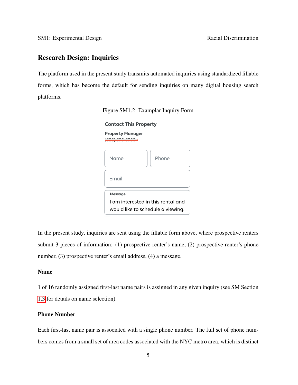#### Research Design: Inquiries

The platform used in the present study transmits automated inquiries using standardized fillable forms, which has become the default for sending inquiries on many digital housing search platforms.



**Contact This Property** 

| <b>Property Manager</b>                                                 |       |
|-------------------------------------------------------------------------|-------|
| Name                                                                    | Phone |
| Email                                                                   |       |
| Message                                                                 |       |
| I am interested in this rental and<br>would like to schedule a viewing. |       |

In the present study, inquiries are sent using the fillable form above, where prospective renters submit 3 pieces of information: (1) prospective renter's name, (2) prospective renter's phone number, (3) prospective renter's email address, (4) a message.

#### Name

1 of 16 randomly assigned first-last name pairs is assigned in any given inquiry (see SM Section [1.3](#page-27-0) for details on name selection).

#### Phone Number

Each first-last name pair is associated with a single phone number. The full set of phone numbers comes from a small set of area codes associated with the NYC metro area, which is distinct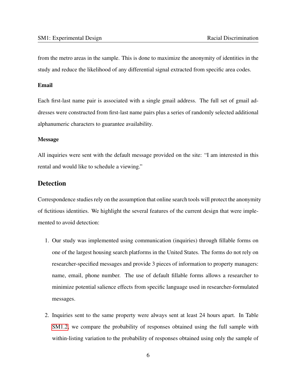from the metro areas in the sample. This is done to maximize the anonymity of identities in the study and reduce the likelihood of any differential signal extracted from specific area codes.

#### Email

Each first-last name pair is associated with a single gmail address. The full set of gmail addresses were constructed from first-last name pairs plus a series of randomly selected additional alphanumeric characters to guarantee availability.

#### Message

All inquiries were sent with the default message provided on the site: "I am interested in this rental and would like to schedule a viewing."

#### Detection

Correspondence studies rely on the assumption that online search tools will protect the anonymity of fictitious identities. We highlight the several features of the current design that were implemented to avoid detection:

- 1. Our study was implemented using communication (inquiries) through fillable forms on one of the largest housing search platforms in the United States. The forms do not rely on researcher-specified messages and provide 3 pieces of information to property managers: name, email, phone number. The use of default fillable forms allows a researcher to minimize potential salience effects from specific language used in researcher-formulated messages.
- 2. Inquiries sent to the same property were always sent at least 24 hours apart. In Table [SM1.2,](#page-25-0) we compare the probability of responses obtained using the full sample with within-listing variation to the probability of responses obtained using only the sample of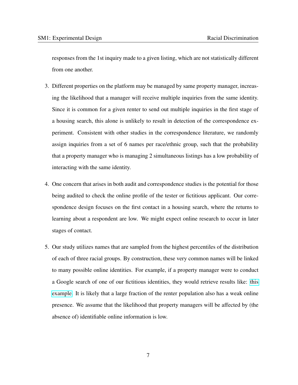responses from the 1st inquiry made to a given listing, which are not statistically different from one another.

- 3. Different properties on the platform may be managed by same property manager, increasing the likelihood that a manager will receive multiple inquiries from the same identity. Since it is common for a given renter to send out multiple inquiries in the first stage of a housing search, this alone is unlikely to result in detection of the correspondence experiment. Consistent with other studies in the correspondence literature, we randomly assign inquiries from a set of 6 names per race/ethnic group, such that the probability that a property manager who is managing 2 simultaneous listings has a low probability of interacting with the same identity.
- 4. One concern that arises in both audit and correspondence studies is the potential for those being audited to check the online profile of the tester or fictitious applicant. Our correspondence design focuses on the first contact in a housing search, where the returns to learning about a respondent are low. We might expect online research to occur in later stages of contact.
- 5. Our study utilizes names that are sampled from the highest percentiles of the distribution of each of three racial groups. By construction, these very common names will be linked to many possible online identities. For example, if a property manager were to conduct a Google search of one of our fictitious identities, they would retrieve results like: [this](https://www.google.com/search?q=jamal+robinson&oq=jamal+robinson&aqs=chrome..69i57j46j0j46j0l4.5226j0j4&sourceid=chrome&ie=UTF-8) [example.](https://www.google.com/search?q=jamal+robinson&oq=jamal+robinson&aqs=chrome..69i57j46j0j46j0l4.5226j0j4&sourceid=chrome&ie=UTF-8) It is likely that a large fraction of the renter population also has a weak online presence. We assume that the likelihood that property managers will be affected by (the absence of) identifiable online information is low.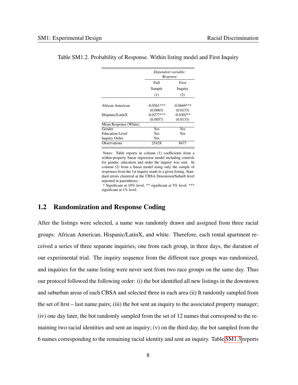|                        | Dependent variable:<br>Response |             |  |
|------------------------|---------------------------------|-------------|--|
|                        | Full                            | First       |  |
|                        | Sample                          | Inquiry     |  |
|                        | (1)                             | (2)         |  |
|                        |                                 |             |  |
| African American       | $-0.0561***$                    | -0.0669***  |  |
|                        | (0.0063)                        | (0.0133)    |  |
| Hispanic/LatinX        | $-0.0277***$                    | $-0.0302**$ |  |
|                        | (0.0057)                        | (0.0133)    |  |
| Mean Response (White)  |                                 |             |  |
| Gender                 | Yes                             | Yes         |  |
| <b>Education Level</b> | Yes                             | Yes         |  |
| <b>Inquiry Order</b>   | Yes                             |             |  |
| <b>Observations</b>    | 25428                           | 8477        |  |

#### <span id="page-25-0"></span>Table SM1.2. Probability of Response. Within listing model and First Inquiry

Notes: Table reports in column (1) coefficients from a within-property linear regression model including controls for gender, education and order the inquiry was sent. In column (2) from a linear model using only the sample of responses from the 1st inquiry made to a given listing. Standard errors clustered at the CBSA Downtown/Suburb level reported in parentheses.

\* Significant at 10% level, \*\* significant at 5% level, \*\*\* significant at 1% level.

#### 1.2 Randomization and Response Coding

After the listings were selected, a name was randomly drawn and assigned from three racial groups: African American, Hispanic/LatinX, and white. Therefore, each rental apartment received a series of three separate inquiries, one from each group, in three days, the duration of our experimental trial. The inquiry sequence from the different race groups was randomized, and inquiries for the same listing were never sent from two race groups on the same day. Thus our protocol followed the following order: (i) the bot identified all new listings in the downtown and suburban areas of each CBSA and selected three in each area (ii) It randomly sampled from the set of first – last name pairs; (iii) the bot sent an inquiry to the associated property manager; (iv) one day later, the bot randomly sampled from the set of 12 names that correspond to the remaining two racial identities and sent an inquiry; (v) on the third day, the bot sampled from the 6 names corresponding to the remaining racial identity and sent an inquiry. Table [SM1.3](#page-26-0) reports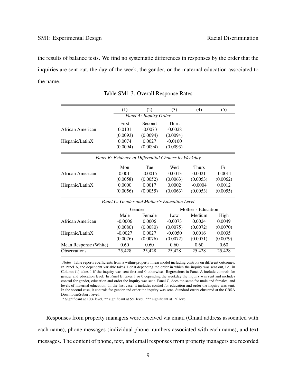the results of balance tests. We find no systematic differences in responses by the order that the inquiries are sent out, the day of the week, the gender, or the maternal education associated to the name.

<span id="page-26-0"></span>

|                       | (1)       | (2)                    | (3)                                                  | (4)                | (5)       |
|-----------------------|-----------|------------------------|------------------------------------------------------|--------------------|-----------|
|                       |           | Panel A: Inquiry Order |                                                      |                    |           |
|                       | First     | Second                 | Third                                                |                    |           |
| African American      | 0.0101    | $-0.0073$              | $-0.0028$                                            |                    |           |
|                       | (0.0093)  | (0.0094)               | (0.0094)                                             |                    |           |
| Hispanic/LatinX       | 0.0074    | 0.0027                 | $-0.0100$                                            |                    |           |
|                       | (0.0094)  | (0.0094)               | (0.0093)                                             |                    |           |
|                       |           |                        | Panel B: Evidence of Differential Choices by Weekday |                    |           |
|                       | Mon       | Tue                    | Wed                                                  | <b>Thurs</b>       | Fri       |
| African American      | $-0.0011$ | $-0.0015$              | $-0.0013$                                            | 0.0021             | $-0.0011$ |
|                       | (0.0058)  | (0.0052)               | (0.0063)                                             | (0.0053)           | (0.0062)  |
| Hispanic/LatinX       | 0.0000    | 0.0017                 | 0.0002                                               | $-0.0004$          | 0.0012    |
|                       | (0.0056)  | (0.0055)               | (0.0063)                                             | (0.0053)           | (0.0055)  |
|                       |           |                        | Panel C: Gender and Mother's Education Level         |                    |           |
|                       |           | Gender                 |                                                      | Mother's Education |           |
|                       | Male      | Female                 | Low                                                  | Medium             | High      |
| African American      | $-0.0006$ | 0.0006                 | $-0.0073$                                            | 0.0024             | 0.0049    |
|                       | (0.0080)  | (0.0080)               | (0.0075)                                             | (0.0072)           | (0.0070)  |
| Hispanic/LatinX       | $-0.0027$ | 0.0027                 | $-0.0050$                                            | 0.0016             | 0.0035    |
|                       | (0.0076)  | (0.0076)               | (0.0072)                                             | (0.0071)           | (0.0079)  |
| Mean Response (White) | 0.60      | 0.60                   | 0.60                                                 | 0.60               | 0.60      |
| <b>Observations</b>   | 25,428    | 25,428                 | 25,428                                               | 25,428             | 25,428    |

Table SM1.3. Overall Response Rates

Notes: Table reports coefficients from a within-property linear model including controls on different outcomes. In Panel A, the dependent variable takes 1 or 0 depending the order in which the inquiry was sent out, i.e. in Column (1) takes 1 if the inquiry was sent first and 0 otherwise. Regressions in Panel A include controls for gender and education level. In Panel B, takes 1 or 0 depending the weekday the inquiry was sent and includes control for gender, education and order the inquiry was sent. Panel C, does the same for male and females, and levels of maternal education. In the first case, it includes control for education and order the inquiry was sent. In the second case, it controls for gender and order the inquiry was sent. Standard errors clustered at the CBSA Downtown/Suburb level.

\* Significant at 10% level, \*\* significant at 5% level, \*\*\* significant at 1% level.

Responses from property managers were received via email (Gmail address associated with each name), phone messages (individual phone numbers associated with each name), and text messages. The content of phone, text, and email responses from property managers are recorded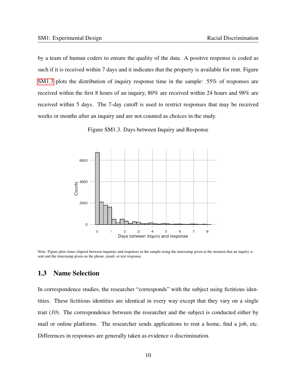by a team of human coders to ensure the quality of the data. A positive response is coded as such if it is received within 7 days and it indicates that the property is available for rent. Figure [SM1.3](#page-27-1) plots the distribution of inquiry response time in the sample: 55% of responses are received within the first 8 hours of an inquiry, 80% are received within 24 hours and 98% are received within 5 days. The 7-day cutoff is used to restrict responses that may be received weeks or months after an inquiry and are not counted as choices in the study.

Figure SM1.3. Days between Inquiry and Response

<span id="page-27-1"></span>

Note: Figure plots times elapsed between inquiries and responses in the sample using the timestamp given at the moment that an inquiry is sent and the timestamp given on the phone, email, or text response.

#### <span id="page-27-0"></span>1.3 Name Selection

In correspondence studies, the researcher "corresponds" with the subject using fictitious identities. These fictitious identities are identical in every way except that they vary on a single trait (*10*). The correspondence between the researcher and the subject is conducted either by mail or online platforms. The researcher sends applications to rent a home, find a job, etc. Differences in responses are generally taken as evidence o discrimination.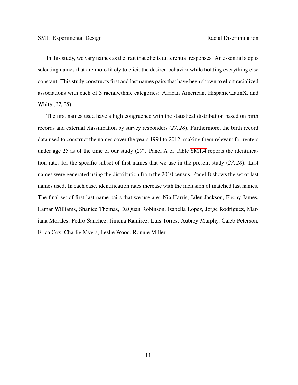In this study, we vary names as the trait that elicits differential responses. An essential step is selecting names that are more likely to elicit the desired behavior while holding everything else constant. This study constructs first and last names pairs that have been shown to elicit racialized associations with each of 3 racial/ethnic categories: African American, Hispanic/LatinX, and White (*27, 28*)

The first names used have a high congruence with the statistical distribution based on birth records and external classification by survey responders (*27, 28*). Furthermore, the birth record data used to construct the names cover the years 1994 to 2012, making them relevant for renters under age 25 as of the time of our study (*27*). Panel A of Table [SM1.4](#page-29-0) reports the identification rates for the specific subset of first names that we use in the present study (*27, 28*). Last names were generated using the distribution from the 2010 census. Panel B shows the set of last names used. In each case, identification rates increase with the inclusion of matched last names. The final set of first-last name pairs that we use are: Nia Harris, Jalen Jackson, Ebony James, Lamar Williams, Shanice Thomas, DaQuan Robinson, Isabella Lopez, Jorge Rodriguez, Mariana Morales, Pedro Sanchez, Jimena Ramirez, Luis Torres, Aubrey Murphy, Caleb Peterson, Erica Cox, Charlie Myers, Leslie Wood, Ronnie Miller.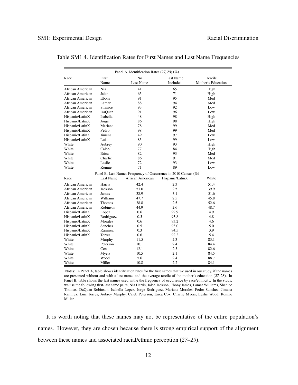|                  |           | Panel A. Identification Rates (27, 28) (%)                     |                 |                    |
|------------------|-----------|----------------------------------------------------------------|-----------------|--------------------|
| Race             | First     | N <sub>o</sub>                                                 | Last Name       | Tercile            |
|                  | Name      | Last Name                                                      | Included        | Mother's Education |
| African American | Nia       | 41                                                             | 65              | High               |
| African American | Jalen     | 63                                                             | 71              | High               |
| African American | Ebony     | 91                                                             | 95              | Med                |
| African American | Lamar     | 88                                                             | 94              | Med                |
| African American | Shanice   | 93                                                             | 92              | Low                |
| African American | DaQuan    | 91                                                             | 96              | Low                |
| Hispanic/LatinX  | Isabella  | 48                                                             | 98              | High               |
| Hispanic/LatinX  | Jorge     | 86                                                             | 98              | High               |
| Hispanic/LatinX  | Mariana   | 78                                                             | 99              | Med                |
| Hispanic/LatinX  | Pedro     | 98                                                             | 99              | Med                |
| Hispanic/LatinX  | Jimena    | 49                                                             | 97              | Low                |
| Hispanic/LatinX  | Luis      | 83                                                             | 99              | Low                |
| White            | Aubrey    | 90                                                             | 93              | High               |
| White            | Caleb     | 77                                                             | 84              | High               |
| White            | Erica     | 82                                                             | 93              | Med                |
| White            | Charlie   | 86                                                             | 91              | Med                |
| White            | Leslie    | 72                                                             | 93              | Low                |
| White            | Ronnie    | 71                                                             | 89              | Low                |
|                  |           | Panel B. Last Names Frequency of Occurrence in 2010 Census (%) |                 |                    |
| Race             | Last Name | African American                                               | Hispanic/LatinX | White              |
| African American | Harris    | 42.4                                                           | 2.3             | 51.4               |
| African American | Jackson   | 53.0                                                           | 2.5             | 39.9               |
| African American | James     | 38.9                                                           | 3.1             | 51.6               |
| African American | Williams  | 47.7                                                           | 2.5             | 45.8               |
| African American | Thomas    | 38.8                                                           | 2.5             | 52.6               |
| African American | Robinson  | 44.9                                                           | 2.6             | 48.7               |
| Hispanic/LatinX  | Lopez     | 0.6                                                            | 92.9            | 4.9                |
| Hispanic/LatinX  | Rodriguez | 0.5                                                            | 93.8            | 4.8                |
| Hispanic/LatinX  | Morales   | 0.6                                                            | 93.2            | 4.6                |
| Hispanic/LatinX  | Sanchez   | 0.5                                                            | 93.0            | 5.0                |
| Hispanic/LatinX  | Ramirez   | 0.3                                                            | 94.5            | 3.9                |
| Hispanic/LatinX  | Torres    | 0.6                                                            | 92.2            | 5.4                |
| White            | Murphy    | 11.5                                                           | 2.3             | 83.1               |
| White            | Peterson  | 10.1                                                           | 2.4             | 84.4               |
| White            | Cox       | 12.1                                                           | 2.3             | 82.6               |
| White            | Myers     | 10.5                                                           | 2.1             | 84.5               |
| White            | Wood      | 5.6                                                            | 2.4             | 88.7               |
| White            | Miller    | 10.8                                                           | 2.2             | 84.1               |

<span id="page-29-0"></span>Table SM1.4. Identification Rates for First Names and Last Name Frequencies

Notes: In Panel A, table shows identification rates for the first names that we used in our study, if the names are presented without and with a last name, and the average tercile of the mother's education (*27, 28*). In Panel B, table shows the last names used withe the frequency of occurrence by race/ethnicity. In the study, we use the following first-last name pairs; Nia Harris, Jalen Jackson, Ebony James, Lamar Williams, Shanice Thomas, DaQuan Robinson, Isabella Lopez, Jorge Rodriguez, Mariana Morales, Pedro Sanchez, Jimena Ramirez, Luis Torres, Aubrey Murphy, Caleb Peterson, Erica Cox, Charlie Myers, Leslie Wood, Ronnie Miller.

It is worth noting that these names may not be representative of the entire population's names. However, they are chosen because there is strong empirical support of the alignment between these names and associated racial/ethnic perception (*27–29*).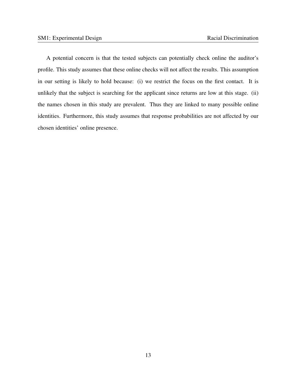A potential concern is that the tested subjects can potentially check online the auditor's profile. This study assumes that these online checks will not affect the results. This assumption in our setting is likely to hold because: (i) we restrict the focus on the first contact. It is unlikely that the subject is searching for the applicant since returns are low at this stage. (ii) the names chosen in this study are prevalent. Thus they are linked to many possible online identities. Furthermore, this study assumes that response probabilities are not affected by our chosen identities' online presence.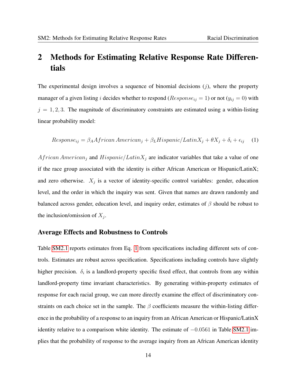## <span id="page-31-0"></span>2 Methods for Estimating Relative Response Rate Differentials

The experimental design involves a sequence of binomial decisions  $(j)$ , where the property manager of a given listing i decides whether to respond ( $Response_{ij} = 1$ ) or not ( $y_{ij} = 0$ ) with  $j = 1, 2, 3$ . The magnitude of discriminatory constraints are estimated using a within-listing linear probability model:

<span id="page-31-1"></span>
$$
Response_{ij} = \beta_A African\,American_j + \beta_LHispanic/LatinX_j + \theta X_j + \delta_i + \epsilon_{ij} \tag{1}
$$

African American<sub>j</sub> and Hispanic/Latin $X_j$  are indicator variables that take a value of one if the race group associated with the identity is either African American or Hispanic/LatinX; and zero otherwise.  $X_j$  is a vector of identity-specific control variables: gender, education level, and the order in which the inquiry was sent. Given that names are drawn randomly and balanced across gender, education level, and inquiry order, estimates of  $\beta$  should be robust to the inclusion/omission of  $X_j$ .

#### Average Effects and Robustness to Controls

Table [SM2.1](#page-32-0) reports estimates from Eq. [1](#page-31-1) from specifications including different sets of controls. Estimates are robust across specification. Specifications including controls have slightly higher precision.  $\delta_i$  is a landlord-property specific fixed effect, that controls from any within landlord-property time invariant characteristics. By generating within-property estimates of response for each racial group, we can more directly examine the effect of discriminatory constraints on each choice set in the sample. The  $\beta$  coefficients measure the within-listing difference in the probability of a response to an inquiry from an African American or Hispanic/LatinX identity relative to a comparison white identity. The estimate of  $-0.0561$  in Table [SM2.1](#page-32-0) implies that the probability of response to the average inquiry from an African American identity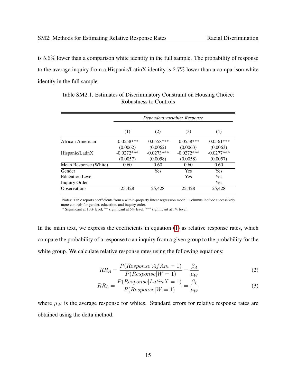is 5.6% lower than a comparison white identity in the full sample. The probability of response to the average inquiry from a Hispanic/LatinX identity is 2.7% lower than a comparison white identity in the full sample.

<span id="page-32-0"></span>

|                        | Dependent variable: Response |              |              |              |  |
|------------------------|------------------------------|--------------|--------------|--------------|--|
|                        | (1)                          | (2)          | (3)          | (4)          |  |
| African American       | $-0.0558***$                 | $-0.0558***$ | $-0.0558***$ | $-0.0561***$ |  |
|                        | (0.0062)                     | (0.0062)     | (0.0063)     | (0.0063)     |  |
| Hispanic/LatinX        | $-0.0272***$                 | $-0.0273***$ | $-0.0272***$ | $-0.0277***$ |  |
|                        | (0.0057)                     | (0.0058)     | (0.0058)     | (0.0057)     |  |
| Mean Response (White)  | 0.60                         | 0.60         | 0.60         | 0.60         |  |
| Gender                 |                              | <b>Yes</b>   | Yes          | Yes          |  |
| <b>Education Level</b> |                              |              | Yes          | <b>Yes</b>   |  |
| <b>Inquiry Order</b>   |                              |              |              | Yes          |  |
| Observations           | 25,428                       | 25,428       | 25,428       | 25,428       |  |
|                        |                              |              |              |              |  |

Table SM2.1. Estimates of Discriminatory Constraint on Housing Choice: Robustness to Controls

Notes: Table reports coefficients from a within-property linear regression model. Columns include successively more controls for gender, education, and inquiry order.

\* Significant at 10% level, \*\* significant at 5% level, \*\*\* significant at 1% level.

In the main text, we express the coefficients in equation [\(1\)](#page-31-1) as relative response rates, which compare the probability of a response to an inquiry from a given group to the probability for the white group. We calculate relative response rates using the following equations:

$$
RR_A = \frac{P(Response|AfAm=1)}{P(Response|W=1)} = \frac{\beta_A}{\mu_W}
$$
\n(2)

$$
RR_L = \frac{P(Response|LatinX = 1)}{P(Response|W = 1)} = \frac{\beta_L}{\mu_W}
$$
\n(3)

where  $\mu_W$  is the average response for whites. Standard errors for relative response rates are obtained using the delta method.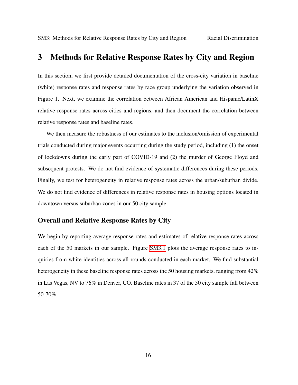## 3 Methods for Relative Response Rates by City and Region

In this section, we first provide detailed documentation of the cross-city variation in baseline (white) response rates and response rates by race group underlying the variation observed in Figure 1. Next, we examine the correlation between African American and Hispanic/LatinX relative response rates across cities and regions, and then document the correlation between relative response rates and baseline rates.

We then measure the robustness of our estimates to the inclusion/omission of experimental trials conducted during major events occurring during the study period, including (1) the onset of lockdowns during the early part of COVID-19 and (2) the murder of George Floyd and subsequent protests. We do not find evidence of systematic differences during these periods. Finally, we test for heterogeneity in relative response rates across the urban/suburban divide. We do not find evidence of differences in relative response rates in housing options located in downtown versus suburban zones in our 50 city sample.

#### Overall and Relative Response Rates by City

We begin by reporting average response rates and estimates of relative response rates across each of the 50 markets in our sample. Figure [SM3.1](#page-34-0) plots the average response rates to inquiries from white identities across all rounds conducted in each market. We find substantial heterogeneity in these baseline response rates across the 50 housing markets, ranging from 42% in Las Vegas, NV to 76% in Denver, CO. Baseline rates in 37 of the 50 city sample fall between 50-70%.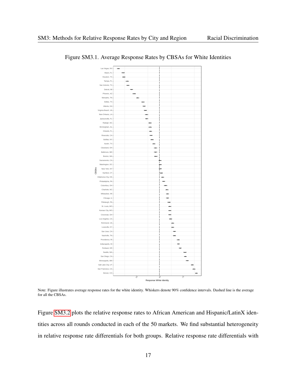

#### <span id="page-34-0"></span>Figure SM3.1. Average Response Rates by CBSAs for White Identities

Note: Figure illustrates average response rates for the white identity. Whiskers denote 90% confidence intervals. Dashed line is the average for all the CBSAs.

Figure [SM3.2](#page-35-0) plots the relative response rates to African American and Hispanic/LatinX identities across all rounds conducted in each of the 50 markets. We find substantial heterogeneity in relative response rate differentials for both groups. Relative response rate differentials with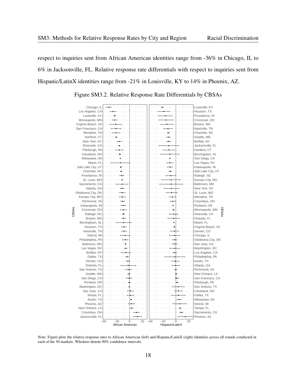respect to inquiries sent from African American identities range from -36% in Chicago, IL to 6% in Jacksonville, FL. Relative response rate differentials with respect to inquiries sent from Hispanic/LatinX identities range from -21% in Louisville, KY to 14% in Phoenix, AZ.

<span id="page-35-0"></span>

Figure SM3.2. Relative Response Rate Differentials by CBSAs

Note: Figure plots the relative response rates to African American (left) and Hispanic/LatinX (right) identities across all rounds conducted in each of the 50 markets. Whiskers denote 90% confidence intervals.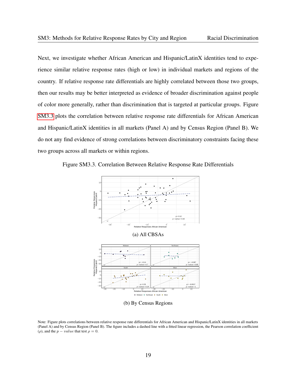Next, we investigate whether African American and Hispanic/LatinX identities tend to experience similar relative response rates (high or low) in individual markets and regions of the country. If relative response rate differentials are highly correlated between those two groups, then our results may be better interpreted as evidence of broader discrimination against people of color more generally, rather than discrimination that is targeted at particular groups. Figure [SM3.3](#page-36-0) plots the correlation between relative response rate differentials for African American and Hispanic/LatinX identities in all markets (Panel A) and by Census Region (Panel B). We do not any find evidence of strong correlations between discriminatory constraints facing these two groups across all markets or within regions.

<span id="page-36-0"></span>Figure SM3.3. Correlation Between Relative Response Rate Differentials



(b) By Census Regions

Note: Figure plots correlations between relative response rate differentials for African American and Hispanic/LatinX identities in all markets (Panel A) and by Census Region (Panel B). The figure includes a dashed line with a fitted linear regression, the Pearson correlation coefficient ( $\rho$ ), and the  $p-value$  that test  $\rho = 0$ .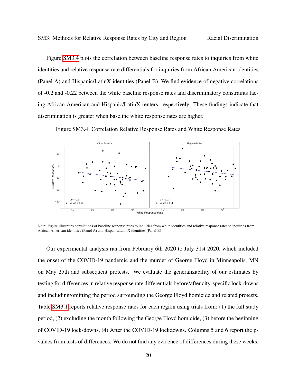Figure [SM3.4](#page-37-0) plots the correlation between baseline response rates to inquiries from white identities and relative response rate differentials for inquiries from African American identities (Panel A) and Hispanic/LatinX identities (Panel B). We find evidence of negative correlations of -0.2 and -0.22 between the white baseline response rates and discriminatory constraints facing African American and Hispanic/LatinX renters, respectively. These findings indicate that discrimination is greater when baseline white response rates are higher.

Figure SM3.4. Correlation Relative Response Rates and White Response Rates

<span id="page-37-0"></span>

Note: Figure illustrates correlations of baseline response rates to inquiries from white identities and relative response rates to inquiries from African American identities (Panel A) and Hispanic/LatinX identities (Panel B)

Our experimental analysis ran from February 6th 2020 to July 31st 2020, which included the onset of the COVID-19 pandemic and the murder of George Floyd in Minneapolis, MN on May 25th and subsequent protests. We evaluate the generalizability of our estimates by testing for differences in relative response rate differentials before/after city-specific lock-downs and including/omitting the period surrounding the George Floyd homicide and related protests. Table [SM3.1](#page-39-0) reports relative response rates for each region using trials from: (1) the full study period, (2) excluding the month following the George Floyd homicide, (3) before the beginning of COVID-19 lock-downs, (4) After the COVID-19 lockdowns. Columns 5 and 6 report the pvalues from tests of differences. We do not find any evidence of differences during these weeks,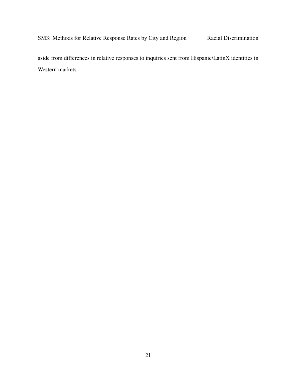aside from differences in relative responses to inquiries sent from Hispanic/LatinX identities in Western markets.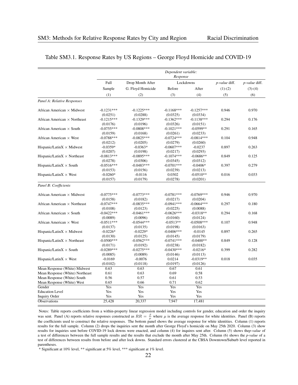<span id="page-39-0"></span>

|                                     |                                    |                                    | Dependent variable:<br>Response      |                                   |               |               |
|-------------------------------------|------------------------------------|------------------------------------|--------------------------------------|-----------------------------------|---------------|---------------|
|                                     | Full                               | Drop Month After                   |                                      | Lockdowns                         | p-value diff. | p-value diff. |
|                                     | Sample                             | G. Floyd Homicide                  | Before                               | After                             | $(1)-(2)$     | $(3)-(4)$     |
|                                     | (1)                                | (2)                                | (3)                                  | (4)                               | (5)           | (6)           |
| Panel A: Relative Responses         |                                    |                                    |                                      |                                   |               |               |
| African American $\times$ Midwest   | $-0.1231***$<br>(0.0251)           | $-0.1225***$<br>(0.0288)           | $-0.1168***$<br>(0.0325)             | $-0.1257***$<br>(0.0334)          | 0.946         | 0.970         |
| African American $\times$ Northeast | $-0.1215***$<br>(0.0176)           | $-0.1329***$<br>(0.0196)           | $-0.1362***$<br>(0.0326)             | $-0.1138***$<br>(0.0151)          | 0.294         | 0.176         |
| African American $\times$ South     | $-0.0755***$<br>(0.0159)           | $-0.0808$ ***<br>(0.0168)          | $-0.1021***$<br>(0.0261)             | $-0.0599**$<br>(0.0233)           | 0.291         | 0.165         |
| African American $\times$ West      | $-0.0788***$<br>(0.0212)           | $-0.0825***$<br>(0.0205)           | $-0.0724***$<br>(0.0279)             | $-0.0814***$<br>(0.0260)          | 0.104         | 0.948         |
| Hispanic/Latin $X \times M$ idwest  | $-0.0359*$<br>(0.0207)             | $-0.0363*$<br>(0.0198)             | $-0.0607***$<br>(0.0217)             | $-0.0237$<br>(0.0293)             | 0.897         | 0.263         |
| Hispanic/Latin $X \times$ Northeast | $-0.0813***$<br>(0.0278)           | $-0.0895***$<br>(0.0306)           | $-0.1074***$<br>(0.0345)             | $-0.0686**$<br>(0.0312)           | 0.849         | 0.125         |
| Hispanic/Latin $X \times$ South     | $-0.0516***$<br>(0.0153)           | $-0.0483***$<br>(0.0156)           | $-0.0701***$<br>(0.0239)             | $-0.0406*$<br>(0.0213)            | 0.397         | 0.279         |
| Hispanic/Latin $X \times$ West      | $-0.0260*$<br>(0.0157)             | $-0.0116$<br>(0.0179)              | 0.0302<br>(0.0278)                   | $-0.0510**$<br>(0.0201)           | 0.016         | 0.033         |
| Panel B: Coefficients               |                                    |                                    |                                      |                                   |               |               |
| African American × Midwest          | $-0.0775***$                       | $-0.0773***$                       | $-0.0781***$                         | $-0.0769***$                      | 0.946         | 0.970         |
| African American $\times$ Northeast | (0.0158)<br>$-0.0747***$           | (0.0182)<br>$-0.0835***$           | (0.0217)<br>$-0.0941***$             | (0.0204)<br>$-0.0664***$          | 0.297         | 0.180         |
| African American $\times$ South     | (0.0108)<br>$-0.0422***$           | (0.0123)<br>$-0.0461***$           | (0.0225)<br>$-0.0626***$             | (0.0088)<br>$-0.0318**$           | 0.294         | 0.168         |
| African American $\times$ West      | (0.0089)<br>$-0.0511***$           | (0.0096)<br>$-0.0544***$           | (0.0160)<br>$-0.0513**$              | (0.0124)<br>$-0.0508***$          | 0.107         | 0.948         |
| Hispanic/Latin $X \times M$ idwest  | (0.0137)<br>$-0.0226*$<br>(0.0130) | (0.0135)<br>$-0.0229*$<br>(0.0125) | (0.0198)<br>$-0.0406***$<br>(0.0145) | (0.0163)<br>$-0.0145$<br>(0.0179) | 0.897         | 0.265         |
| Hispanic/Latin $X \times$ Northeast | $-0.0500***$<br>(0.0171)           | $-0.0562***$<br>(0.0192)           | $-0.0741***$<br>(0.0238)             | $-0.0400**$<br>(0.0182)           | 0.849         | 0.128         |
| Hispanic/Latin $X \times$ South     | $-0.0289***$<br>(0.0085)           | $-0.0275***$<br>(0.0089)           | $-0.0430***$<br>(0.0146)             | $-0.0216*$<br>(0.0113)            | 0.399         | 0.282         |
| Hispanic/Latin $X \times$ West      | $-0.0169$<br>(0.0102)              | $-0.0076$<br>(0.0118)              | 0.0214<br>(0.0197)                   | $-0.0319**$<br>(0.0126)           | 0.018         | 0.035         |
| Mean Response (White) Midwest       | 0.63                               | 0.63                               | 0.67                                 | 0.61                              |               |               |
| Mean Response (White) Northeast     | 0.61                               | 0.63                               | 0.69                                 | 0.58                              |               |               |
| Mean Response (White) South         | 0.56                               | 0.57                               | 0.61                                 | 0.53                              |               |               |
| Mean Response (White) West          | 0.65                               | 0.66                               | 0.71                                 | 0.62                              |               |               |
| Gender                              | Yes                                | <b>Yes</b>                         | Yes                                  | Yes <sup>-</sup>                  |               |               |
| <b>Education Level</b>              | Yes                                | Yes                                | Yes                                  | Yes                               |               |               |
| <b>Inquiry Order</b>                | Yes                                | Yes                                | Yes                                  | Yes                               |               |               |
| <b>Observations</b>                 | 25,428                             | 20,337                             | 7,947                                | 17,481                            |               |               |

#### Table SM3.1. Response Rates by US Regions – George Floyd Homicide and COVID-19

Notes: Table reports coefficients from a within-property linear regression model including controls for gender, education and order the inquiry was sent. Panel (A) reports relative responses constructed as  $RR = \frac{\beta}{\mu}$  where  $\mu$  is the average response for white identities. Panel (B) reports the coefficients used to construct the relative responses. The bottom panel shows the average response for white identities. Column (1) reports results for the full sample. Column (2) drops the inquiries sent the month after George Floyd's homicide on May 25th 2020. Column (3) show results for inquiries sent before COVID-19 lock downs were enacted, and column (4) for inquires sent after. Column (5) shows the*p-value* of a test of differences between the full sample results and the results that exclude the month after May 25th. Column (6) shows the *p-value* of a test of differences between results from before and after lock downs. Standard errors clustered at the CBSA Downtown/Suburb level reported in parentheses.

\* Significant at 10% level, \*\* significant at 5% level, \*\*\* significant at 1% level.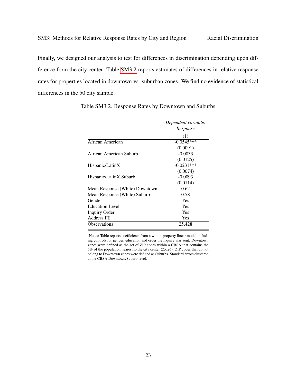Finally, we designed our analysis to test for differences in discrimination depending upon difference from the city center. Table [SM3.2](#page-40-0) reports estimates of differences in relative response rates for properties located in downtown vs. suburban zones. We find no evidence of statistical differences in the 50 city sample.

|                                | Dependent variable:<br>Response |
|--------------------------------|---------------------------------|
|                                | (1)                             |
| African American               | $-0.0545***$                    |
|                                | (0.0091)                        |
| African American Suburb        | $-0.0033$                       |
|                                | (0.0125)                        |
| Hispanic/LatinX                | $-0.0231***$                    |
|                                | (0.0074)                        |
| Hispanic/LatinX Suburb         | $-0.0093$                       |
|                                | (0.0114)                        |
| Mean Response (White) Downtown | 0.62                            |
| Mean Response (White) Suburb   | 0.58                            |
| Gender                         | Yes                             |
| <b>Education Level</b>         | <b>Yes</b>                      |
| Inquiry Order                  | Yes                             |
| Address FE                     | Yes                             |
| Observations                   | 25,428                          |
|                                |                                 |

<span id="page-40-0"></span>Table SM3.2. Response Rates by Downtown and Suburbs

Notes: Table reports coefficients from a within-property linear model including controls for gender, education and order the inquiry was sent. Downtown zones were defined as the set of ZIP codes within a CBSA that contains the 5% of the population nearest to the city center (*25, 26*). ZIP codes that do not belong to Downtown zones were defined as Suburbs. Standard errors clustered at the CBSA Downtown/Suburb level.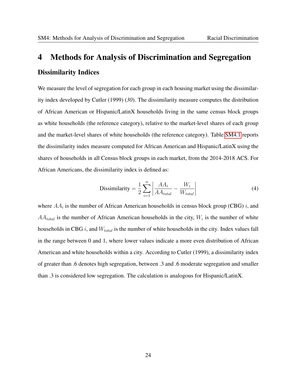## <span id="page-41-0"></span>4 Methods for Analysis of Discrimination and Segregation Dissimilarity Indices

We measure the level of segregation for each group in each housing market using the dissimilarity index developed by Cutler (1999) (*30*). The dissimilarity measure computes the distribution of African American or Hispanic/LatinX households living in the same census block groups as white households (the reference category), relative to the market-level shares of each group and the market-level shares of white households (the reference category). Table [SM4.1](#page-42-0) reports the dissimilarity index measure computed for African American and Hispanic/LatinX using the shares of households in all Census block groups in each market, from the 2014-2018 ACS. For African Americans, the dissimilarity index is defined as:

$$
\text{Dissimilarity} = \frac{1}{2} \sum_{i=1}^{n} \left| \frac{AA_i}{AA_{total}} - \frac{W_i}{W_{total}} \right| \tag{4}
$$

where  $AA_i$  is the number of African American households in census block group (CBG) i, and  $AA_{total}$  is the number of African American households in the city,  $W_i$  is the number of white households in CBG i, and  $W_{total}$  is the number of white households in the city. Index values fall in the range between 0 and 1, where lower values indicate a more even distribution of African American and white households within a city. According to Cutler (1999), a dissimilarity index of greater than .6 denotes high segregation, between .3 and .6 moderate segregation and smaller than .3 is considered low segregation. The calculation is analogous for Hispanic/LatinX.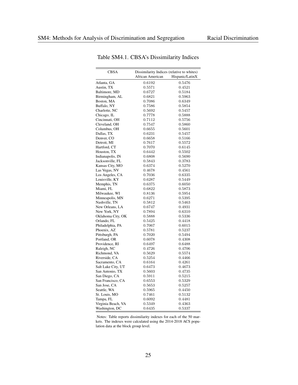<span id="page-42-0"></span>

| CBSA               | Dissimilarity Indices (relative to whites) |                 |  |
|--------------------|--------------------------------------------|-----------------|--|
|                    | African American                           | Hispanic/LatinX |  |
| Atlanta, GA        | 0.6192                                     | 0.5476          |  |
| Austin, TX         | 0.5571                                     | 0.4521          |  |
| Baltimore, MD      | 0.6727                                     | 0.5184          |  |
| Birmingham, AL     | 0.6821                                     | 0.5963          |  |
| Boston, MA         | 0.7086                                     | 0.6349          |  |
| Buffalo, NY        | 0.7586                                     | 0.5854          |  |
| Charlotte, NC      | 0.5692                                     | 0.5457          |  |
| Chicago, IL        | 0.7778                                     | 0.5888          |  |
| Cincinnati, OH     | 0.7112                                     | 0.5756          |  |
| Cleveland, OH      | 0.7547                                     | 0.5860          |  |
| Columbus, OH       | 0.6655                                     | 0.5601          |  |
| Dallas, TX         | 0.6231                                     | 0.5457          |  |
| Denver, CO         | 0.6658                                     | 0.5166          |  |
| Detroit, MI        | 0.7617                                     | 0.5572          |  |
| Hartford, CT       | 0.7070                                     | 0.6145          |  |
| Houston, TX        | 0.6442                                     | 0.5502          |  |
| Indianapolis, IN   | 0.6808                                     | 0.5690          |  |
| Jacksonville, FL   | 0.5843                                     | 0.3783          |  |
| Kansas City, MO    | 0.6374                                     | 0.5270          |  |
| Las Vegas, NV      | 0.4678                                     | 0.4561          |  |
| Los Angeles, CA    | 0.7036                                     | 0.6335          |  |
| Louisville, KY     | 0.6287                                     | 0.5449          |  |
| Memphis, TN        | $_{0.6375}$                                | 0.6050          |  |
| Miami, FL          | 0.6822                                     | 0.5873          |  |
| Milwaukee, WI      | 0.8136                                     | 0.5954          |  |
| Minneapolis, MN    | 0.6271                                     | 0.5395          |  |
| Nashville, TN      | 0.5812                                     | 0.5463          |  |
| New Orleans, LA    | 0.6747                                     | 0.4931          |  |
| New York, NY       | 0.7894                                     | 0.6310          |  |
| Oklahoma City, OK  | 0.5888                                     | 0.5336          |  |
| Orlando, FL        | 0.5425                                     | 0.4418          |  |
| Philadelphia, PA   | 0.7067                                     | 0.6015          |  |
| Phoenix, AZ        | 0.5781                                     | 0.5237          |  |
| Pittsburgh, PA     | 0.7020                                     | 0.5494          |  |
| Portland, OR       | 0.6078                                     | 0.4308          |  |
| Providence, RI     | 0.6497                                     | 0.6488          |  |
| Raleigh, NC        | 0.4726                                     | 0.4706          |  |
| Richmond, VA       | 0.5629                                     | 0.5574          |  |
| Riverside, CA      | 0.5254                                     | 0.4466          |  |
| Sacramento, CA     | 0.6164                                     | 0.4261          |  |
| Salt Lake City, UT | 0.6473                                     | 0.4673          |  |
| San Antonio, TX    | 0.5603                                     | 0.4735          |  |
| San Diego, CA      | 0.5911                                     | 0.5215          |  |
| San Francisco, CA  | 0.6553                                     | 0.5329          |  |
| San Jose, CA       | 0.5653                                     | 0.5257          |  |
| Seattle, WA        | 0.5965                                     | 0.4450          |  |
| St. Louis, MO      | 0.7461                                     | 0.5132          |  |
| Tampa, FL          | ${0.6092}$                                 | 0.4481          |  |
| Virginia Beach, VA | 0.5349                                     | 0.4363          |  |
| Washington, DC     | 0.6435                                     | 0.5337          |  |

Table SM4.1. CBSA's Dissimilarity Indices

Notes: Table reports dissimilarity indexes for each of the 50 markets. The indexes were calculated using the 2014-2018 ACS population data at the block group level.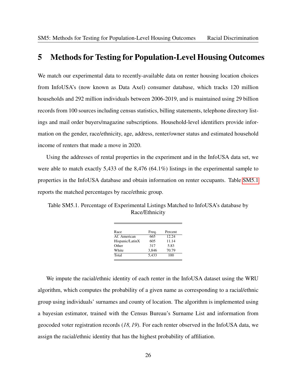### <span id="page-43-0"></span>5 Methods for Testing for Population-Level Housing Outcomes

We match our experimental data to recently-available data on renter housing location choices from InfoUSA's (now known as Data Axel) consumer database, which tracks 120 million households and 292 million individuals between 2006-2019, and is maintained using 29 billion records from 100 sources including census statistics, billing statements, telephone directory listings and mail order buyers/magazine subscriptions. Household-level identifiers provide information on the gender, race/ethnicity, age, address, renter/owner status and estimated household income of renters that made a move in 2020.

Using the addresses of rental properties in the experiment and in the InfoUSA data set, we were able to match exactly 5,433 of the 8,476 (64.1%) listings in the experimental sample to properties in the InfoUSA database and obtain information on renter occupants. Table [SM5.1](#page-43-1) reports the matched percentages by race/ethnic group.

<span id="page-43-1"></span>Table SM5.1. Percentage of Experimental Listings Matched to InfoUSA's database by Race/Ethnicity

| Race            | Freq. | Percent |
|-----------------|-------|---------|
| Af. American    | 665   | 12.24   |
| Hispanic/LatinX | 605   | 11.14   |
| Other           | 317   | 5.83    |
| White           | 3.846 | 70.79   |
| Total           | 5.433 | 100     |

We impute the racial/ethnic identity of each renter in the InfoUSA dataset using the WRU algorithm, which computes the probability of a given name as corresponding to a racial/ethnic group using individuals' surnames and county of location. The algorithm is implemented using a bayesian estimator, trained with the Census Bureau's Surname List and information from geocoded voter registration records (*18, 19*). For each renter observed in the InfoUSA data, we assign the racial/ethnic identity that has the highest probability of affiliation.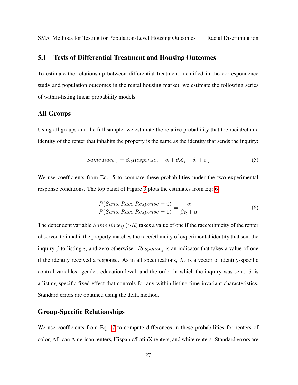#### 5.1 Tests of Differential Treatment and Housing Outcomes

To estimate the relationship between differential treatment identified in the correspondence study and population outcomes in the rental housing market, we estimate the following series of within-listing linear probability models.

#### All Groups

Using all groups and the full sample, we estimate the relative probability that the racial/ethnic identity of the renter that inhabits the property is the same as the identity that sends the inquiry:

$$
Same Race_{ij} = \beta_R Response_j + \alpha + \theta X_j + \delta_i + \epsilon_{ij}
$$
\n(5)

We use coefficients from Eq. [5](#page-44-0) to compare these probabilities under the two experimental response conditions. The top panel of Figure [3](#page-17-0) plots the estimates from Eq: [6:](#page-44-1)

<span id="page-44-1"></span><span id="page-44-0"></span>
$$
\frac{P(Same Race|Response=0)}{P(Same Race|Response=1)} = \frac{\alpha}{\beta_R + \alpha}
$$
\n(6)

The dependent variable  $Same$   $Race_{ij}$   $(SR)$  takes a value of one if the race/ethnicity of the renter observed to inhabit the property matches the race/ethnicity of experimental identity that sent the inquiry j to listing i; and zero otherwise.  $Response_j$  is an indicator that takes a value of one if the identity received a response. As in all specifications,  $X_j$  is a vector of identity-specific control variables: gender, education level, and the order in which the inquiry was sent.  $\delta_i$  is a listing-specific fixed effect that controls for any within listing time-invariant characteristics. Standard errors are obtained using the delta method.

#### Group-Specific Relationships

We use coefficients from Eq. [7](#page-45-0) to compute differences in these probabilities for renters of color, African American renters, Hispanic/LatinX renters, and white renters. Standard errors are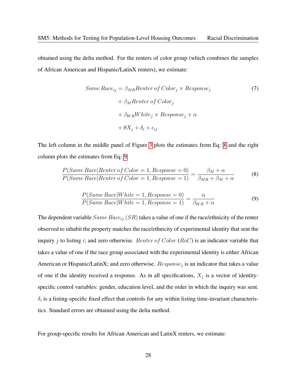obtained using the delta method. For the renters of color group (which combines the samples of African American and Hispanic/LatinX renters), we estimate:

<span id="page-45-0"></span>
$$
Same\,Race_{ij} = \beta_{MR}Renter\,of\,Color_{j} \times Response_{j}
$$
  
+  $\beta_{M}Renter\,of\,Color_{j}$   
+  $\beta_{WR}White_{j} \times Response_{j} + \alpha$   
+  $\theta X_{j} + \delta_{i} + \epsilon_{ij}$  (7)

The left column in the middle panel of Figure [3](#page-17-0) plots the estimates from Eq: [8](#page-45-1) and the right column plots the estimates from Eq: [9:](#page-45-2)

$$
\frac{P(Same\,Race|Renter\,of\,Color=1,Response=0)}{P(Same\,Race|Renter\,of\,Color=1,Response=1)} = \frac{\beta_M + \alpha}{\beta_{MR} + \beta_M + \alpha} \tag{8}
$$

<span id="page-45-2"></span><span id="page-45-1"></span>
$$
\frac{P(Same Race|White=1, Response=0)}{P(Same Race|White=1,Response=1)} = \frac{\alpha}{\beta_{WR} + \alpha}
$$
\n(9)

The dependent variable  $Same$   $Race_{ij}$   $(SR)$  takes a value of one if the race/ethnicity of the renter observed to inhabit the property matches the race/ethnicity of experimental identity that sent the inquiry  $j$  to listing  $i$ ; and zero otherwise. *Renter of Color* (RoC) is an indicator variable that takes a value of one if the race group associated with the experimental identity is either African American or Hispanic/LatinX; and zero otherwise.  $Response_j$  is an indicator that takes a value of one if the identity received a response. As in all specifications,  $X_j$  is a vector of identityspecific control variables: gender, education level, and the order in which the inquiry was sent.  $\delta_i$  is a listing-specific fixed effect that controls for any within listing time-invariant characteristics. Standard errors are obtained using the delta method.

For group-specific results for African American and LatinX renters, we estimate: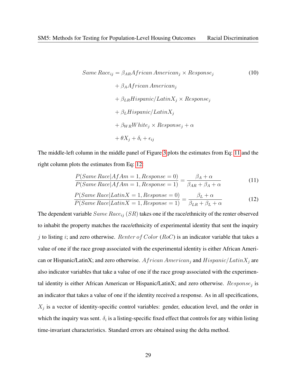<span id="page-46-2"></span>
$$
Same\,Race_{ij} = \beta_{AR} African\,American_j \times Response_j
$$
\n
$$
+ \beta_A African\,American_j
$$
\n
$$
+ \beta_{LR}Hispanic/LatinX_j \times Response_j
$$
\n
$$
+ \beta_L Hispanic/LatinX_j
$$
\n
$$
+ \beta_{WR}White_j \times Response_j + \alpha
$$
\n
$$
+ \theta X_j + \delta_i + \epsilon_{ij}
$$
\n(10)

The middle-left column in the middle panel of Figure [3](#page-17-0) plots the estimates from Eq: [11](#page-46-0) and the right column plots the estimates from Eq: [12:](#page-46-1)

<span id="page-46-1"></span><span id="page-46-0"></span>
$$
\frac{P(Same Race|AfAm=1, Response=0)}{P(Same Race|AfAm=1,Response=1)} = \frac{\beta_A + \alpha}{\beta_{AR} + \beta_A + \alpha}
$$
(11)

$$
\frac{P(Same\,Race|LatinX = 1, Response = 0)}{P(Same\,Race|LatinX = 1, Response = 1)} = \frac{\beta_L + \alpha}{\beta_{LR} + \beta_L + \alpha}
$$
(12)

The dependent variable  $Same$   $Race_{ij}$   $(SR)$  takes one if the race/ethnicity of the renter observed to inhabit the property matches the race/ethnicity of experimental identity that sent the inquiry j to listing i; and zero otherwise. Renter of Color (RoC) is an indicator variable that takes a value of one if the race group associated with the experimental identity is either African American or Hispanic/LatinX; and zero otherwise.  $African American_j$  and  $Hispanic/LatinX_j$  are also indicator variables that take a value of one if the race group associated with the experimental identity is either African American or Hispanic/LatinX; and zero otherwise.  $Response_j$  is an indicator that takes a value of one if the identity received a response. As in all specifications,  $X_j$  is a vector of identity-specific control variables: gender, education level, and the order in which the inquiry was sent.  $\delta_i$  is a listing-specific fixed effect that controls for any within listing time-invariant characteristics. Standard errors are obtained using the delta method.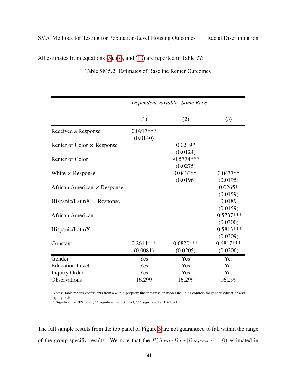All estimates from equations [\(5\)](#page-44-0), [\(7\)](#page-45-0), and [\(10\)](#page-46-2) are reported in Table ??:

|                                    | Dependent variable: Same Race |              |              |  |  |
|------------------------------------|-------------------------------|--------------|--------------|--|--|
|                                    |                               |              |              |  |  |
|                                    | (1)                           | (2)          | (3)          |  |  |
| Received a Response                | $0.0917***$                   |              |              |  |  |
|                                    | (0.0140)                      |              |              |  |  |
| Renter of Color $\times$ Response  |                               | $0.0219*$    |              |  |  |
|                                    |                               | (0.0124)     |              |  |  |
| Renter of Color                    |                               | $-0.5774***$ |              |  |  |
|                                    |                               | (0.0275)     |              |  |  |
| White $\times$ Response            |                               | $0.0433**$   | $0.0437**$   |  |  |
|                                    |                               | (0.0196)     | (0.0195)     |  |  |
| African American $\times$ Response |                               |              | $0.0265*$    |  |  |
|                                    |                               |              | (0.0159)     |  |  |
| Hispanic/Latin $X \times$ Response |                               |              | 0.0189       |  |  |
|                                    |                               |              | (0.0159)     |  |  |
| <b>African American</b>            |                               |              | $-0.5737***$ |  |  |
|                                    |                               |              | (0.0300)     |  |  |
| Hispanic/LatinX                    |                               |              | $-0.5813***$ |  |  |
|                                    |                               |              | (0.0309)     |  |  |
| Constant                           | $0.2614***$                   | $0.6820***$  | $0.6817***$  |  |  |
|                                    | (0.0081)                      | (0.0205)     | (0.0206)     |  |  |
| Gender                             | Yes                           | Yes          | Yes          |  |  |
| <b>Education Level</b>             | Yes                           | Yes          | Yes          |  |  |
| <b>Inquiry Order</b>               | Yes                           | Yes          | Yes          |  |  |
| Observations                       | 16,299                        | 16,299       | 16,299       |  |  |
|                                    |                               |              |              |  |  |

Table SM5.2. Estimates of Baseline Renter Outcomes

Notes: Table reports coefficients from a within-property linear regression model including controls for gender, education and inquiry order.

\* Significant at 10% level, \*\* significant at 5% level, \*\*\* significant at 1% level.

The full sample results from the top panel of Figure [3](#page-17-0) are not guaranteed to fall within the range of the group-specific results. We note that the  $P(Same Race|Response = 0)$  estimated in